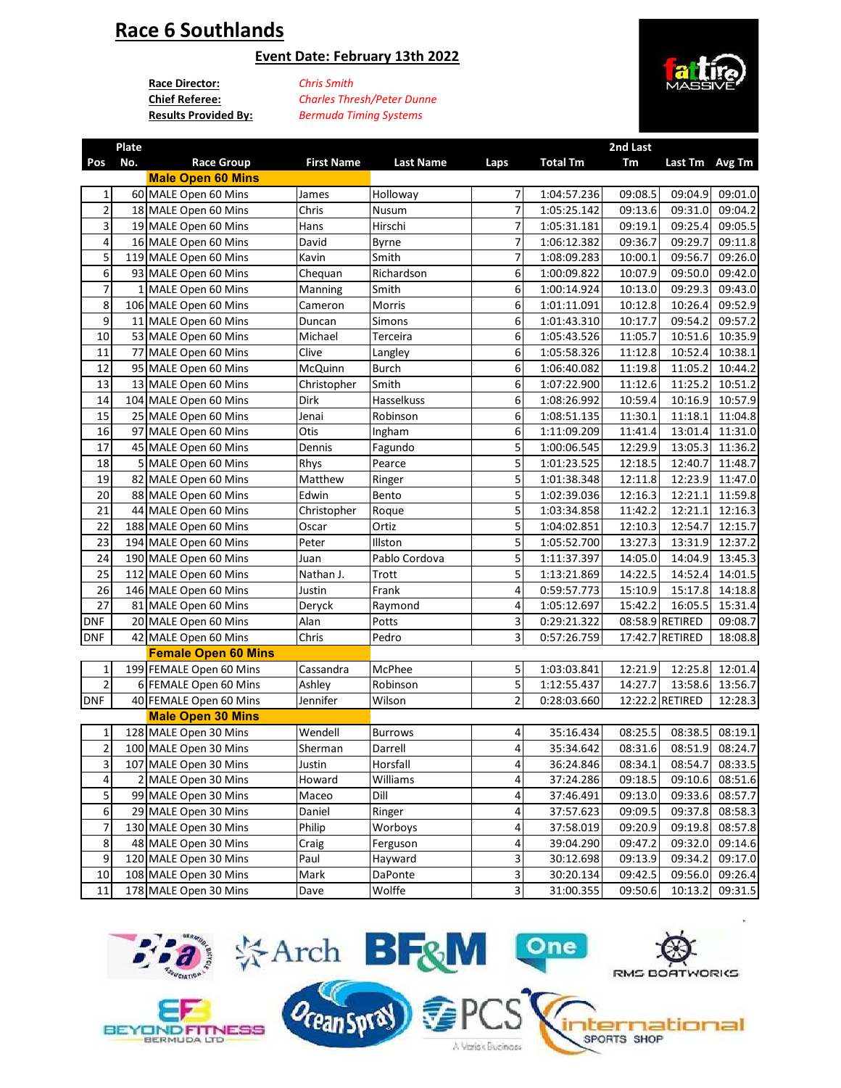# **Race 6 Southlands**

### **Event Date: February 13th 2022**

**Race Director:** *Chris Smith* **Chief Referee:**

**Results Provided By:** *Bermuda Timing Systems Charles Thresh/Peter Dunne*



|                | Plate |                            |                   |                  |                |                 | 2nd Last |                 |         |
|----------------|-------|----------------------------|-------------------|------------------|----------------|-----------------|----------|-----------------|---------|
| Pos            | No.   | <b>Race Group</b>          | <b>First Name</b> | <b>Last Name</b> | Laps           | <b>Total Tm</b> | Tm       | Last Tm Avg Tm  |         |
|                |       | <b>Male Open 60 Mins</b>   |                   |                  |                |                 |          |                 |         |
| 1              |       | 60 MALE Open 60 Mins       | James             | Holloway         | 7              | 1:04:57.236     | 09:08.5  | 09:04.9         | 09:01.0 |
| $\overline{c}$ |       | 18 MALE Open 60 Mins       | Chris             | <b>Nusum</b>     | 7              | 1:05:25.142     | 09:13.6  | 09:31.0         | 09:04.2 |
| 3              |       | 19 MALE Open 60 Mins       | Hans              | Hirschi          | 7              | 1:05:31.181     | 09:19.1  | 09:25.4         | 09:05.5 |
| 4              |       | 16 MALE Open 60 Mins       | David             | <b>Byrne</b>     | 7              | 1:06:12.382     | 09:36.7  | 09:29.7         | 09:11.8 |
| 5              |       | 119 MALE Open 60 Mins      | Kavin             | Smith            | 7              | 1:08:09.283     | 10:00.1  | 09:56.7         | 09:26.0 |
| 6              |       | 93 MALE Open 60 Mins       | Chequan           | Richardson       | 6              | 1:00:09.822     | 10:07.9  | 09:50.0         | 09:42.0 |
| 7              |       | 1 MALE Open 60 Mins        | Manning           | Smith            | 6              | 1:00:14.924     | 10:13.0  | 09:29.3         | 09:43.0 |
| 8              |       | 106 MALE Open 60 Mins      | Cameron           | Morris           | 6              | 1:01:11.091     | 10:12.8  | 10:26.4         | 09:52.9 |
| 9              |       | 11 MALE Open 60 Mins       | Duncan            | Simons           | 6              | 1:01:43.310     | 10:17.7  | 09:54.2         | 09:57.2 |
| 10             |       | 53 MALE Open 60 Mins       | Michael           | Terceira         | 6              | 1:05:43.526     | 11:05.7  | 10:51.6         | 10:35.9 |
| 11             |       | 77 MALE Open 60 Mins       | Clive             | Langley          | 6              | 1:05:58.326     | 11:12.8  | 10:52.4         | 10:38.1 |
| 12             |       | 95 MALE Open 60 Mins       | McQuinn           | <b>Burch</b>     | 6              | 1:06:40.082     | 11:19.8  | 11:05.2         | 10:44.2 |
| 13             |       | 13 MALE Open 60 Mins       | Christopher       | Smith            | 6              | 1:07:22.900     | 11:12.6  | 11:25.2         | 10:51.2 |
| 14             |       | 104 MALE Open 60 Mins      | <b>Dirk</b>       | Hasselkuss       | 6              | 1:08:26.992     | 10:59.4  | 10:16.9         | 10:57.9 |
| 15             |       | 25 MALE Open 60 Mins       | Jenai             | Robinson         | 6              | 1:08:51.135     | 11:30.1  | 11:18.1         | 11:04.8 |
| 16             |       | 97 MALE Open 60 Mins       | Otis              | Ingham           | 6              | 1:11:09.209     | 11:41.4  | 13:01.4         | 11:31.0 |
| 17             |       | 45 MALE Open 60 Mins       | Dennis            | Fagundo          | 5              | 1:00:06.545     | 12:29.9  | 13:05.3         | 11:36.2 |
| 18             |       | 5 MALE Open 60 Mins        | Rhys              | Pearce           | 5              | 1:01:23.525     | 12:18.5  | 12:40.7         | 11:48.7 |
| 19             |       | 82 MALE Open 60 Mins       | Matthew           | Ringer           | 5              | 1:01:38.348     | 12:11.8  | 12:23.9         | 11:47.0 |
| 20             |       | 88 MALE Open 60 Mins       | Edwin             | Bento            | 5              | 1:02:39.036     | 12:16.3  | 12:21.1         | 11:59.8 |
| 21             |       | 44 MALE Open 60 Mins       | Christopher       | Roque            | 5              | 1:03:34.858     | 11:42.2  | 12:21.1         | 12:16.3 |
| 22             |       | 188 MALE Open 60 Mins      | Oscar             | Ortiz            | 5              | 1:04:02.851     | 12:10.3  | 12:54.7         | 12:15.7 |
| 23             |       | 194 MALE Open 60 Mins      | Peter             | Illston          | 5              | 1:05:52.700     | 13:27.3  | 13:31.9         | 12:37.2 |
| 24             |       | 190 MALE Open 60 Mins      | Juan              | Pablo Cordova    | 5              | 1:11:37.397     | 14:05.0  | 14:04.9         | 13:45.3 |
| 25             |       | 112 MALE Open 60 Mins      | Nathan J.         | Trott            | 5              | 1:13:21.869     | 14:22.5  | 14:52.4         | 14:01.5 |
| 26             |       | 146 MALE Open 60 Mins      | Justin            | Frank            | 4              | 0:59:57.773     | 15:10.9  | 15:17.8         | 14:18.8 |
| 27             |       | 81 MALE Open 60 Mins       | Deryck            | Raymond          | 4              | 1:05:12.697     | 15:42.2  | 16:05.5         | 15:31.4 |
| <b>DNF</b>     |       | 20 MALE Open 60 Mins       | Alan              | Potts            | 3              | 0:29:21.322     |          | 08:58.9 RETIRED | 09:08.7 |
| <b>DNF</b>     |       | 42 MALE Open 60 Mins       | Chris             | Pedro            | 3              | 0:57:26.759     |          | 17:42.7 RETIRED | 18:08.8 |
|                |       | <b>Female Open 60 Mins</b> |                   |                  |                |                 |          |                 |         |
| $\mathbf 1$    |       | 199 FEMALE Open 60 Mins    | Cassandra         | McPhee           | 5              | 1:03:03.841     | 12:21.9  | 12:25.8         | 12:01.4 |
| $\overline{2}$ |       | 6 FEMALE Open 60 Mins      | Ashley            | Robinson         | 5              | 1:12:55.437     | 14:27.7  | 13:58.6         | 13:56.7 |
| <b>DNF</b>     |       | 40 FEMALE Open 60 Mins     | Jennifer          | Wilson           | $\overline{2}$ | 0:28:03.660     |          | 12:22.2 RETIRED | 12:28.3 |
|                |       | <b>Male Open 30 Mins</b>   |                   |                  |                |                 |          |                 |         |
| 1              |       | 128 MALE Open 30 Mins      | Wendell           | <b>Burrows</b>   | 4              | 35:16.434       | 08:25.5  | 08:38.5         | 08:19.1 |
| $\overline{c}$ |       | 100 MALE Open 30 Mins      | Sherman           | Darrell          | 4              | 35:34.642       | 08:31.6  | 08:51.9         | 08:24.7 |
| 3              |       | 107 MALE Open 30 Mins      | Justin            | Horsfall         | $\overline{a}$ | 36:24.846       | 08:34.1  | 08:54.7         | 08:33.5 |
| 4              |       | 2 MALE Open 30 Mins        | Howard            | Williams         | 4              | 37:24.286       | 09:18.5  | 09:10.6         | 08:51.6 |
| 5              |       | 99 MALE Open 30 Mins       | Maceo             | Dill             | 4              | 37:46.491       | 09:13.0  | 09:33.6         | 08:57.7 |
| 6              |       | 29 MALE Open 30 Mins       | Daniel            | Ringer           | 4              | 37:57.623       | 09:09.5  | 09:37.8         | 08:58.3 |
| $\overline{7}$ |       | 130 MALE Open 30 Mins      | Philip            | Worboys          | 4              | 37:58.019       | 09:20.9  | 09:19.8         | 08:57.8 |
| 8              |       | 48 MALE Open 30 Mins       | Craig             | Ferguson         | 4              | 39:04.290       | 09:47.2  | 09:32.0         | 09:14.6 |
| 9              |       | 120 MALE Open 30 Mins      | Paul              | Hayward          | 3              | 30:12.698       | 09:13.9  | 09:34.2         | 09:17.0 |
| 10             |       | 108 MALE Open 30 Mins      | Mark              | DaPonte          | 3              | 30:20.134       | 09:42.5  | 09:56.0         | 09:26.4 |
| 11             |       | 178 MALE Open 30 Mins      | Dave              | Wolffe           | 3              | 31:00.355       | 09:50.6  | 10:13.2         | 09:31.5 |
|                |       |                            |                   |                  |                |                 |          |                 |         |

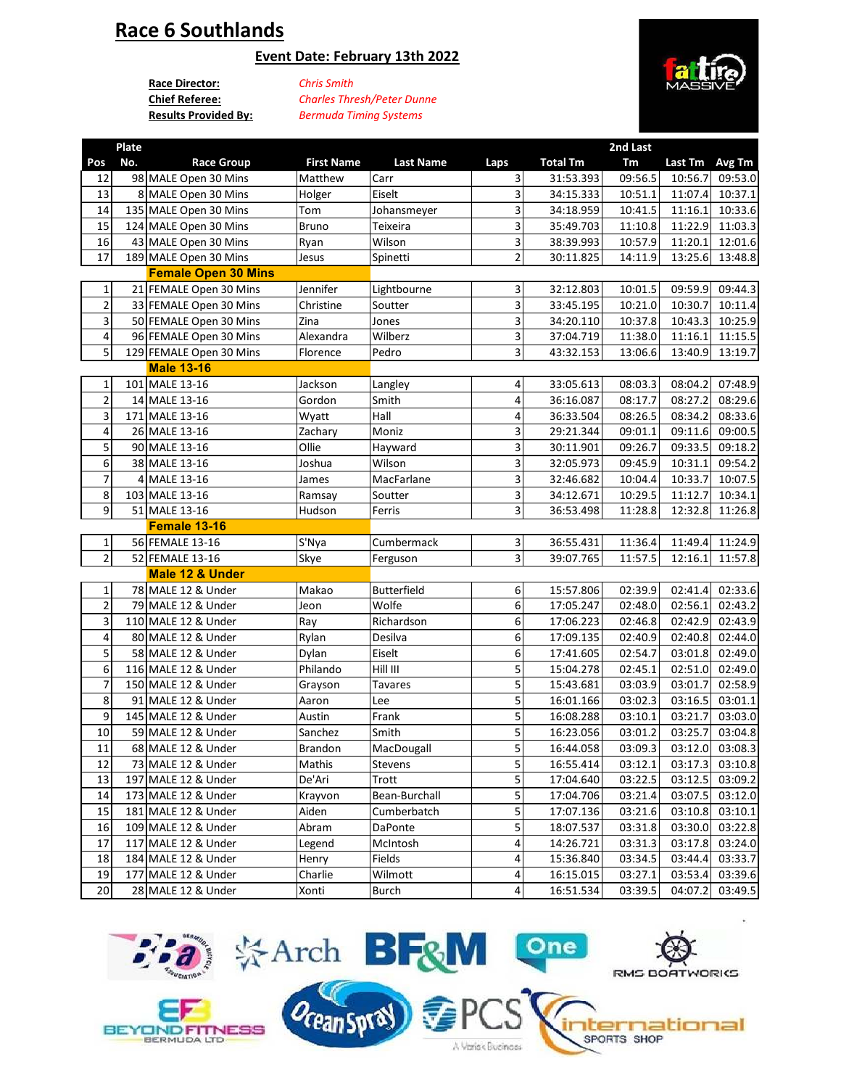# **Race 6 Southlands**

### **Event Date: February 13th 2022**

**Race Director:** *Chris Smith* **Chief Referee:**

**Results Provided By:** *Bermuda Timing Systems Charles Thresh/Peter Dunne*



|                         | Plate |                            |                   |                    |                         |                 | 2nd Last |                |                 |
|-------------------------|-------|----------------------------|-------------------|--------------------|-------------------------|-----------------|----------|----------------|-----------------|
| Pos                     | No.   | <b>Race Group</b>          | <b>First Name</b> | <b>Last Name</b>   | Laps                    | <b>Total Tm</b> | Tm       | Last Tm Avg Tm |                 |
| 12                      |       | 98 MALE Open 30 Mins       | Matthew           | Carr               | 3                       | 31:53.393       | 09:56.5  | 10:56.7        | 09:53.0         |
| 13                      |       | 8 MALE Open 30 Mins        | Holger            | Eiselt             | 3                       | 34:15.333       | 10:51.1  | 11:07.4        | 10:37.1         |
| 14                      |       | 135 MALE Open 30 Mins      | Tom               | Johansmeyer        | 3                       | 34:18.959       | 10:41.5  | 11:16.1        | 10:33.6         |
| 15                      |       | 124 MALE Open 30 Mins      | <b>Bruno</b>      | Teixeira           | 3                       | 35:49.703       | 11:10.8  | 11:22.9        | 11:03.3         |
| 16                      |       | 43 MALE Open 30 Mins       | Ryan              | Wilson             | 3                       | 38:39.993       | 10:57.9  | 11:20.1        | 12:01.6         |
| 17                      |       | 189 MALE Open 30 Mins      | Jesus             | Spinetti           | $\overline{\mathbf{c}}$ | 30:11.825       | 14:11.9  | 13:25.6        | 13:48.8         |
|                         |       | <b>Female Open 30 Mins</b> |                   |                    |                         |                 |          |                |                 |
| 1                       |       | 21 FEMALE Open 30 Mins     | Jennifer          | Lightbourne        | 3                       | 32:12.803       | 10:01.5  | 09:59.9        | 09:44.3         |
| $\overline{\mathbf{c}}$ |       | 33 FEMALE Open 30 Mins     | Christine         | Soutter            | 3                       | 33:45.195       | 10:21.0  | 10:30.7        | 10:11.4         |
| 3                       |       | 50 FEMALE Open 30 Mins     | Zina              | Jones              | 3                       | 34:20.110       | 10:37.8  | 10:43.3        | 10:25.9         |
| 4                       |       | 96 FEMALE Open 30 Mins     | Alexandra         | Wilberz            | 3                       | 37:04.719       | 11:38.0  | 11:16.1        | 11:15.5         |
| 5                       |       | 129 FEMALE Open 30 Mins    | Florence          | Pedro              | з                       | 43:32.153       | 13:06.6  | 13:40.9        | 13:19.7         |
|                         |       | <b>Male 13-16</b>          |                   |                    |                         |                 |          |                |                 |
| 1                       |       | 101 MALE 13-16             | Jackson           | Langley            | 4                       | 33:05.613       | 08:03.3  | 08:04.2        | 07:48.9         |
| $\overline{2}$          |       | 14 MALE 13-16              | Gordon            | Smith              | 4                       | 36:16.087       | 08:17.7  | 08:27.2        | 08:29.6         |
| 3                       |       | 171 MALE 13-16             | Wyatt             | Hall               | 4                       | 36:33.504       | 08:26.5  | 08:34.2        | 08:33.6         |
| 4                       |       | 26 MALE 13-16              |                   | Moniz              | 3                       | 29:21.344       | 09:01.1  | 09:11.6        | 09:00.5         |
| 5                       |       |                            | Zachary<br>Ollie  |                    | 3                       |                 |          |                |                 |
|                         |       | 90 MALE 13-16              |                   | Hayward            |                         | 30:11.901       | 09:26.7  | 09:33.5        | 09:18.2         |
| 6<br>$\overline{7}$     |       | 38 MALE 13-16              | Joshua            | Wilson             | 3                       | 32:05.973       | 09:45.9  | 10:31.1        | 09:54.2         |
|                         |       | 4 MALE 13-16               | James             | MacFarlane         | 3                       | 32:46.682       | 10:04.4  | 10:33.7        | 10:07.5         |
| 8                       |       | 103 MALE 13-16             | Ramsay            | Soutter            | 3                       | 34:12.671       | 10:29.5  | 11:12.7        | 10:34.1         |
| 9                       |       | 51 MALE 13-16              | Hudson            | Ferris             | з                       | 36:53.498       | 11:28.8  | 12:32.8        | 11:26.8         |
|                         |       | Female 13-16               |                   |                    |                         |                 |          |                |                 |
| 1                       |       | 56 FEMALE 13-16            | S'Nya             | Cumbermack         | $\overline{\mathbf{3}}$ | 36:55.431       | 11:36.4  | 11:49.4        | 11:24.9         |
| $\overline{2}$          |       | 52 FEMALE 13-16            | Skye              | Ferguson           | $\overline{3}$          | 39:07.765       | 11:57.5  | 12:16.1        | 11:57.8         |
|                         |       | Male 12 & Under            |                   |                    |                         |                 |          |                |                 |
| 1                       |       | 78 MALE 12 & Under         | Makao             | <b>Butterfield</b> | 6                       | 15:57.806       | 02:39.9  | 02:41.4        | 02:33.6         |
| $\overline{\mathbf{c}}$ |       | 79 MALE 12 & Under         | Jeon              | Wolfe              | 6                       | 17:05.247       | 02:48.0  | 02:56.1        | 02:43.2         |
| 3                       |       | 110 MALE 12 & Under        | Ray               | Richardson         | 6                       | 17:06.223       | 02:46.8  | 02:42.9        | 02:43.9         |
| 4                       |       | 80 MALE 12 & Under         | Rylan             | Desilva            | 6                       | 17:09.135       | 02:40.9  | 02:40.8        | 02:44.0         |
| 5                       |       | 58 MALE 12 & Under         | Dylan             | Eiselt             | 6                       | 17:41.605       | 02:54.7  | 03:01.8        | 02:49.0         |
| 6                       |       | 116 MALE 12 & Under        | Philando          | Hill III           | 5                       | 15:04.278       | 02:45.1  | 02:51.0        | 02:49.0         |
| $\overline{7}$          |       | 150 MALE 12 & Under        | Grayson           | <b>Tavares</b>     | 5                       | 15:43.681       | 03:03.9  | 03:01.7        | 02:58.9         |
| 8                       |       | 91 MALE 12 & Under         | Aaron             | Lee                | 5                       | 16:01.166       | 03:02.3  | 03:16.5        | 03:01.1         |
| 9                       |       | 145 MALE 12 & Under        | Austin            | Frank              | 5                       | 16:08.288       | 03:10.1  | 03:21.7        | 03:03.0         |
| 10                      |       | 59 MALE 12 & Under         | Sanchez           | Smith              | 5                       | 16:23.056       | 03:01.2  | 03:25.7        | 03:04.8         |
| 11                      |       | 68 MALE 12 & Under         | <b>Brandon</b>    | MacDougall         | 5                       | 16:44.058       | 03:09.3  | 03:12.0        | 03:08.3         |
| 12                      |       | 73 MALE 12 & Under         | Mathis            | Stevens            | $\overline{\mathbf{5}}$ | 16:55.414       | 03:12.1  |                | 03:17.3 03:10.8 |
| 13                      |       | 197 MALE 12 & Under        | De'Ari            | Trott              | $\overline{5}$          | 17:04.640       | 03:22.5  | 03:12.5        | 03:09.2         |
| 14                      |       | 173 MALE 12 & Under        | Krayvon           | Bean-Burchall      | 5                       | 17:04.706       | 03:21.4  | 03:07.5        | 03:12.0         |
| 15                      |       | 181 MALE 12 & Under        | Aiden             | Cumberbatch        | 5                       | 17:07.136       | 03:21.6  | 03:10.8        | 03:10.1         |
| 16                      |       | 109 MALE 12 & Under        | Abram             | DaPonte            | 5                       | 18:07.537       | 03:31.8  | 03:30.0        | 03:22.8         |
| 17                      |       | 117 MALE 12 & Under        | Legend            | McIntosh           | 4                       | 14:26.721       | 03:31.3  | 03:17.8        | 03:24.0         |
| 18                      |       | 184 MALE 12 & Under        | Henry             | Fields             | 4                       | 15:36.840       | 03:34.5  | 03:44.4        | 03:33.7         |
| 19                      |       | 177 MALE 12 & Under        | Charlie           | Wilmott            | 4                       | 16:15.015       | 03:27.1  | 03:53.4        | 03:39.6         |
| 20                      |       | 28 MALE 12 & Under         | Xonti             | <b>Burch</b>       | 4                       | 16:51.534       | 03:39.5  | 04:07.2        | 03:49.5         |
|                         |       |                            |                   |                    |                         |                 |          |                |                 |